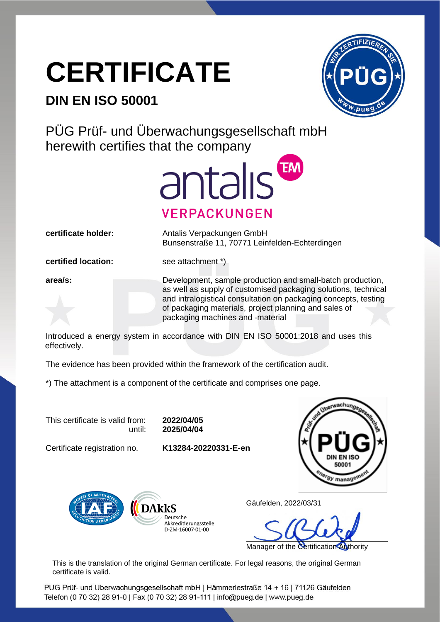## **CERTIFICATE**

## **DIN EN ISO 50001**



PÜG Prüf- und Überwachungsgesellschaft mbH herewith certifies that the company



**certificate holder:** Antalis Verpackungen GmbH Bunsenstraße 11, 70771 Leinfelden-Echterdingen

**certified location:** see attachment \*)

**area/s:** Development, sample production and small-batch production, as well as supply of customised packaging solutions, technical and intralogistical consultation on packaging concepts, testing of packaging materials, project planning and sales of packaging machines and -material

Introduced a energy system in accordance with DIN EN ISO 50001:2018 and uses this effectively.

The evidence has been provided within the framework of the certification audit.

\*) The attachment is a component of the certificate and comprises one page.

This certificate is valid from: **2022/04/05**

until: **2025/04/04**

Certificate registration no. **K13284-20220331-E-en**





Gäufelden, 2022/03/31

Manager of the Certification Authority

This is the translation of the original German certificate. For legal reasons, the original German certificate is valid.

PÜG Prüf- und Überwachungsgesellschaft mbH | Hämmerlestraße 14 + 16 | 71126 Gäufelden Telefon (0 70 32) 28 91-0 | Fax (0 70 32) 28 91-111 | info@pueg.de | www.pueg.de